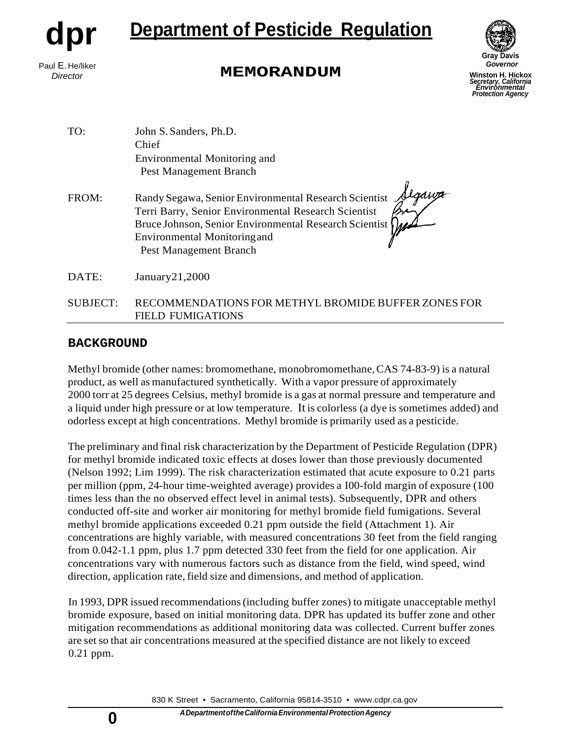

# **dpr Department of Pesticide Regulation**



*Director* **MEMORANDUM** E. *Governor*

**Winston H. Hickox**  *Secretary, California Environmental Protection Agency*

| TO:      | John S. Sanders, Ph.D.<br>Chief                                                                                                                                                                                                          |
|----------|------------------------------------------------------------------------------------------------------------------------------------------------------------------------------------------------------------------------------------------|
|          | Environmental Monitoring and<br>Pest Management Branch                                                                                                                                                                                   |
| FROM:    | Randy Segawa, Senior Environmental Research Scientist<br>Terri Barry, Senior Environmental Research Scientist<br>Bruce Johnson, Senior Environmental Research Scientist<br><b>Environmental Monitoring and</b><br>Pest Management Branch |
| DATE:    | January21,2000                                                                                                                                                                                                                           |
| SUBJECT: | RECOMMENDATIONS FOR METHYL BROMIDE BUFFER ZONES FOR<br><b>FIELD FUMIGATIONS</b>                                                                                                                                                          |

#### **BACKGROUND**

Methyl bromide (other names: bromomethane, monobromomethane,CAS 74-83-9) is a natural product, as well as manufactured synthetically. With a vapor pressure of approximately 2000 torr at 25 degrees Celsius, methyl bromide is a gas at normal pressure and temperature and a liquid under high pressure or at low temperature. It is colorless (a dye is sometimes added) and odorless except at high concentrations. Methyl bromide is primarily used as a pesticide.

The preliminary and final risk characterization by the Department of Pesticide Regulation (DPR) for methyl bromide indicated toxic effects at doses lower than those previously documented (Nelson 1992; Lim 1999). The risk characterization estimated that acute exposure to 0.21 parts per million (ppm, 24-hour time-weighted average) provides a I00-fold margin of exposure (100 times less than the no observed effect level in animal tests). Subsequently, DPR and others conducted off-site and worker air monitoring for methyl bromide field fumigations. Several methyl bromide applications exceeded 0.21 ppm outside the field (Attachment 1). Air concentrations are highly variable, with measured concentrations 30 feet from the field ranging from 0.042-1.1 ppm, plus 1.7 ppm detected 330 feet from the field for one application. Air concentrations vary with numerous factors such as distance from the field, wind speed, wind direction, application rate, field size and dimensions, and method of application.

In 1993, DPR issued recommendations(including buffer zones) to mitigate unacceptable methyl bromide exposure, based on initial monitoring data. DPR has updated its buffer zone and other mitigation recommendations as additional monitoring data was collected. Current buffer zones are set so that air concentrations measured at the specified distance are not likely to exceed 0.21 ppm.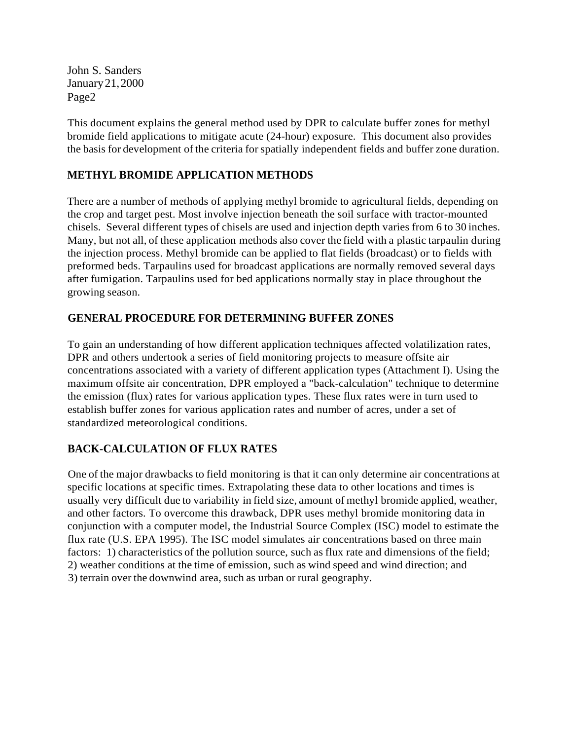This document explains the general method used by DPR to calculate buffer zones for methyl bromide field applications to mitigate acute (24-hour) exposure. This document also provides the basis for development of the criteria for spatially independent fields and buffer zone duration.

# **METHYL BROMIDE APPLICATION METHODS**

There are a number of methods of applying methyl bromide to agricultural fields, depending on the crop and target pest. Most involve injection beneath the soil surface with tractor-mounted chisels. Several different types of chisels are used and injection depth varies from 6 to 30 inches. Many, but not all, of these application methods also cover the field with a plastic tarpaulin during the injection process. Methyl bromide can be applied to flat fields (broadcast) or to fields with preformed beds. Tarpaulins used for broadcast applications are normally removed several days after fumigation. Tarpaulins used for bed applications normally stay in place throughout the growing season.

# **GENERAL PROCEDURE FOR DETERMINING BUFFER ZONES**

To gain an understanding of how different application techniques affected volatilization rates, DPR and others undertook a series of field monitoring projects to measure offsite air concentrations associated with a variety of different application types (Attachment I). Using the maximum offsite air concentration, DPR employed a "back-calculation" technique to determine the emission (flux) rates for various application types. These flux rates were in turn used to establish buffer zones for various application rates and number of acres, under a set of standardized meteorological conditions.

# **BACK-CALCULATION OF FLUX RATES**

One of the major drawbacks to field monitoring is that it can only determine air concentrations at specific locations at specific times. Extrapolating these data to other locations and times is usually very difficult due to variability in field size, amount of methyl bromide applied, weather, and other factors. To overcome this drawback, DPR uses methyl bromide monitoring data in conjunction with a computer model, the Industrial Source Complex (ISC) model to estimate the flux rate (U.S. EPA 1995). The ISC model simulates air concentrations based on three main factors: 1) characteristics of the pollution source, such as flux rate and dimensions of the field; 2) weather conditions at the time of emission, such as wind speed and wind direction; and 3) terrain over the downwind area, such as urban or rural geography.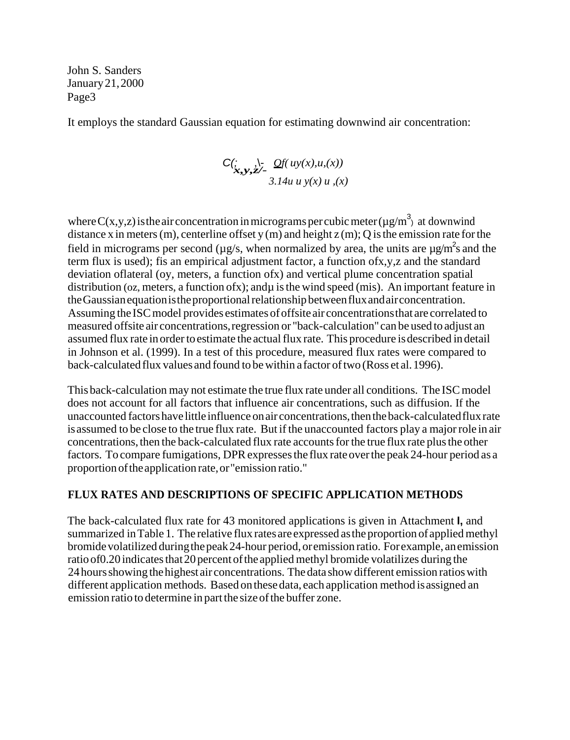It employs the standard Gaussian equation for estimating downwind air concentration:

$$
C(\mathbf{x}, \mathbf{y}, \mathbf{z}) = \underbrace{Of}(uy(x), u, (x))
$$
  
3.14u u y(x) u, (x)

where C(x,y,z) is the air concentration in micrograms per cubic meter ( $\mu$ g/m<sup>3</sup>) at downwind distance x in meters (m), centerline offset y (m) and height  $z$  (m); Q is the emission rate for the field in micrograms per second ( $\mu$ g/s, when normalized by area, the units are  $\mu$ g/m<sup>2</sup>s and the term flux is used); fis an empirical adjustment factor, a function ofx,y,z and the standard deviation oflateral (oy, meters, a function ofx) and vertical plume concentration spatial distribution (oz, meters, a function of x); and u is the wind speed (mis). An important feature in the Gaussian equation is the proportional relationshipbetweenfluxandair concentration. Assuming the ISC model provides estimates of offsite air concentrations that are correlated to measured offsite air concentrations, regression or "back-calculation"can be used to adjust an assumed flux rate in order to estimate the actual flux rate. This procedure is described in detail in Johnson et al. (1999). In a test of this procedure, measured flux rates were compared to back-calculated flux values and found to bewithin a factor of two (Ross et al. 1996).

This back-calculation may not estimate the true flux rate under all conditions. The ISC model does not account for all factors that influence air concentrations, such as diffusion. If the unaccounted factorshave little influence on air concentrations,then the back-calculatedfluxrate isassumed to be close to the true flux rate. But if the unaccounted factors play a major role in air concentrations, then the back-calculated flux rate accounts for the true flux rate plus the other factors. To compare fumigations, DPR expresses the flux rate over the peak 24-hour period as a proportion of the application rate, or "emission ratio."

# **FLUX RATES AND DESCRIPTIONS OF SPECIFIC APPLICATION METHODS**

The back-calculated flux rate for 43 monitored applications is given in Attachment **l,** and summarized inTable 1. The relative flux ratesare expressed as the proportion of applied methyl bromide volatilized during the peak 24-hour period, or emission ratio. For example, anemission ratio of0.20 indicates that 20 percent of the applied methyl bromide volatilizes during the 24 hours showing the highest air concentrations. The data show different emission ratios with different application methods. Based on these data, each application method is assigned an emission ratio to determine in part the sizeof the buffer zone.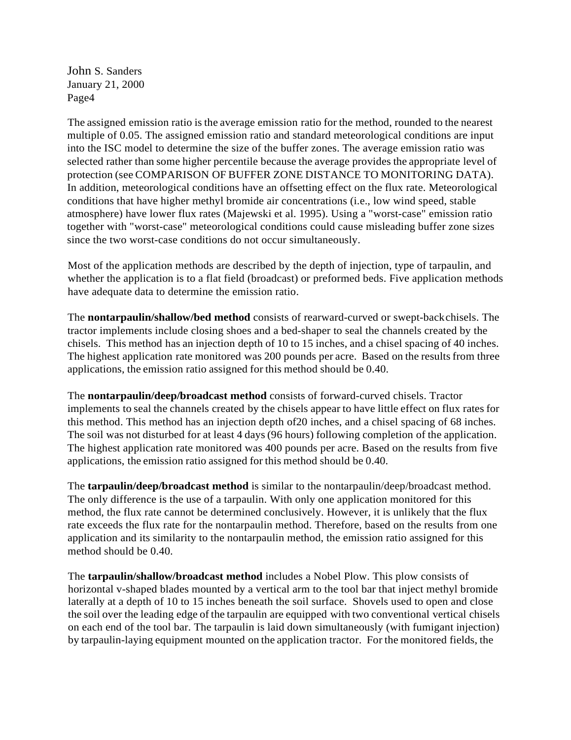The assigned emission ratio is the average emission ratio for the method, rounded to the nearest multiple of 0.05. The assigned emission ratio and standard meteorological conditions are input into the ISC model to determine the size of the buffer zones. The average emission ratio was selected rather than some higher percentile because the average provides the appropriate level of protection (see COMPARISON OF BUFFER ZONE DISTANCE TO MONITORING DATA). In addition, meteorological conditions have an offsetting effect on the flux rate. Meteorological conditions that have higher methyl bromide air concentrations (i.e., low wind speed, stable atmosphere) have lower flux rates (Majewski et al. 1995). Using a "worst-case" emission ratio together with "worst-case" meteorological conditions could cause misleading buffer zone sizes since the two worst-case conditions do not occur simultaneously.

Most of the application methods are described by the depth of injection, type of tarpaulin, and whether the application is to a flat field (broadcast) or preformed beds. Five application methods have adequate data to determine the emission ratio.

The **nontarpaulin/shallow/bed method** consists of rearward-curved or swept-back chisels. The tractor implements include closing shoes and a bed-shaper to seal the channels created by the chisels. This method has an injection depth of 10 to 15 inches, and a chisel spacing of 40 inches. The highest application rate monitored was 200 pounds per acre. Based on the results from three applications, the emission ratio assigned for this method should be 0.40.

The **nontarpaulin/deep/broadcast method** consists of forward-curved chisels. Tractor implements to seal the channels created by the chisels appear to have little effect on flux rates for this method. This method has an injection depth of20 inches, and a chisel spacing of 68 inches. The soil was not disturbed for at least 4 days (96 hours) following completion of the application. The highest application rate monitored was 400 pounds per acre. Based on the results from five applications, the emission ratio assigned for this method should be 0.40.

The **tarpaulin/deep/broadcast method** is similar to the nontarpaulin/deep/broadcast method. The only difference is the use of a tarpaulin. With only one application monitored for this method, the flux rate cannot be determined conclusively. However, it is unlikely that the flux rate exceeds the flux rate for the nontarpaulin method. Therefore, based on the results from one application and its similarity to the nontarpaulin method, the emission ratio assigned for this method should be 0.40.

The **tarpaulin/shallow/broadcast method** includes a Nobel Plow. This plow consists of horizontal v-shaped blades mounted by a vertical arm to the tool bar that inject methyl bromide laterally at a depth of 10 to 15 inches beneath the soil surface. Shovels used to open and close the soil over the leading edge of the tarpaulin are equipped with two conventional vertical chisels on each end of the tool bar. The tarpaulin is laid down simultaneously (with fumigant injection) by tarpaulin-laying equipment mounted on the application tractor. For the monitored fields, the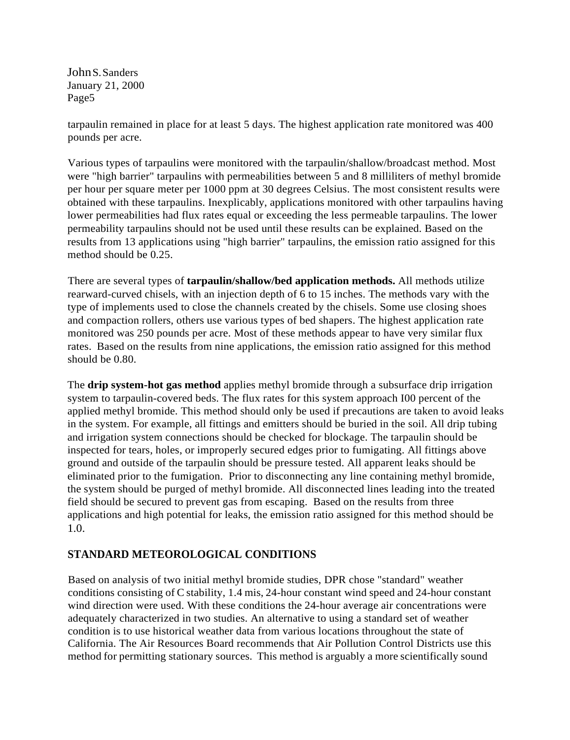tarpaulin remained in place for at least 5 days. The highest application rate monitored was 400 pounds per acre.

Various types of tarpaulins were monitored with the tarpaulin/shallow/broadcast method. Most were "high barrier" tarpaulins with permeabilities between 5 and 8 milliliters of methyl bromide per hour per square meter per 1000 ppm at 30 degrees Celsius. The most consistent results were obtained with these tarpaulins. Inexplicably, applications monitored with other tarpaulins having lower permeabilities had flux rates equal or exceeding the less permeable tarpaulins. The lower permeability tarpaulins should not be used until these results can be explained. Based on the results from 13 applications using "high barrier" tarpaulins, the emission ratio assigned for this method should be 0.25.

There are several types of **tarpaulin/shallow/bed application methods.** All methods utilize rearward-curved chisels, with an injection depth of 6 to 15 inches. The methods vary with the type of implements used to close the channels created by the chisels. Some use closing shoes and compaction rollers, others use various types of bed shapers. The highest application rate monitored was 250 pounds per acre. Most of these methods appear to have very similar flux rates. Based on the results from nine applications, the emission ratio assigned for this method should be 0.80.

The **drip system-hot gas method** applies methyl bromide through a subsurface drip irrigation system to tarpaulin-covered beds. The flux rates for this system approach I00 percent of the applied methyl bromide. This method should only be used if precautions are taken to avoid leaks in the system. For example, all fittings and emitters should be buried in the soil. All drip tubing and irrigation system connections should be checked for blockage. The tarpaulin should be inspected for tears, holes, or improperly secured edges prior to fumigating. All fittings above ground and outside of the tarpaulin should be pressure tested. All apparent leaks should be eliminated prior to the fumigation. Prior to disconnecting any line containing methyl bromide, the system should be purged of methyl bromide. All disconnected lines leading into the treated field should be secured to prevent gas from escaping. Based on the results from three applications and high potential for leaks, the emission ratio assigned for this method should be 1.0.

# **STANDARD METEOROLOGICAL CONDITIONS**

Based on analysis of two initial methyl bromide studies, DPR chose "standard" weather conditions consisting of C stability, 1.4 mis, 24-hour constant wind speed and 24-hour constant wind direction were used. With these conditions the 24-hour average air concentrations were adequately characterized in two studies. An alternative to using a standard set of weather condition is to use historical weather data from various locations throughout the state of California. The Air Resources Board recommends that Air Pollution Control Districts use this method for permitting stationary sources. This method is arguably a more scientifically sound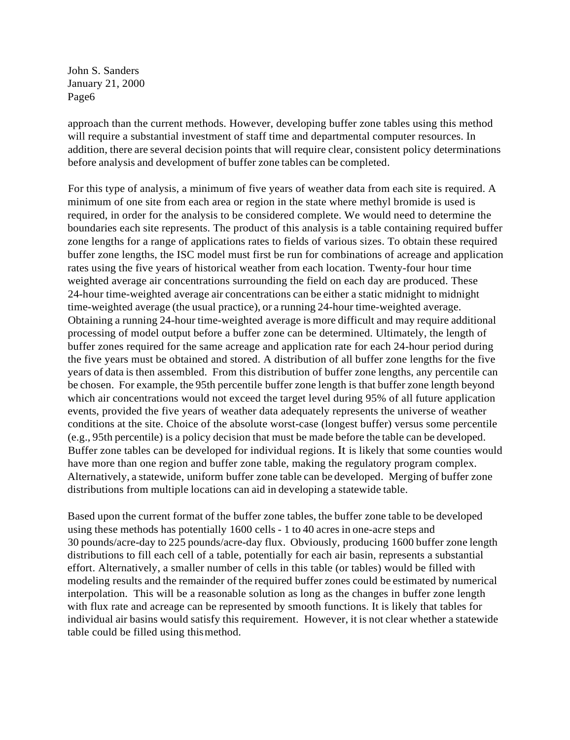approach than the current methods. However, developing buffer zone tables using this method will require a substantial investment of staff time and departmental computer resources. In addition, there are several decision points that will require clear, consistent policy determinations before analysis and development of buffer zone tables can be completed.

For this type of analysis, a minimum of five years of weather data from each site is required. A minimum of one site from each area or region in the state where methyl bromide is used is required, in order for the analysis to be considered complete. We would need to determine the boundaries each site represents. The product of this analysis is a table containing required buffer zone lengths for a range of applications rates to fields of various sizes. To obtain these required buffer zone lengths, the ISC model must first be run for combinations of acreage and application rates using the five years of historical weather from each location. Twenty-four hour time weighted average air concentrations surrounding the field on each day are produced. These 24-hour time-weighted average air concentrations can be either a static midnight to midnight time-weighted average (the usual practice), or a running 24-hour time-weighted average. Obtaining a running 24-hour time-weighted average is more difficult and may require additional processing of model output before a buffer zone can be determined. Ultimately, the length of buffer zones required for the same acreage and application rate for each 24-hour period during the five years must be obtained and stored. A distribution of all buffer zone lengths for the five years of data is then assembled. From this distribution of buffer zone lengths, any percentile can be chosen. For example, the 95th percentile buffer zone length is that buffer zone length beyond which air concentrations would not exceed the target level during 95% of all future application events, provided the five years of weather data adequately represents the universe of weather conditions at the site. Choice of the absolute worst-case (longest buffer) versus some percentile (e.g., 95th percentile) is a policy decision that must be made before the table can be developed. Buffer zone tables can be developed for individual regions. It is likely that some counties would have more than one region and buffer zone table, making the regulatory program complex. Alternatively, a statewide, uniform buffer zone table can be developed. Merging of buffer zone distributions from multiple locations can aid in developing a statewide table.

Based upon the current format of the buffer zone tables, the buffer zone table to be developed using these methods has potentially 1600 cells - 1 to 40 acres in one-acre steps and 30 pounds/acre-day to 225 pounds/acre-day flux. Obviously, producing 1600 buffer zone length distributions to fill each cell of a table, potentially for each air basin, represents a substantial effort. Alternatively, a smaller number of cells in this table (or tables) would be filled with modeling results and the remainder of the required buffer zones could be estimated by numerical interpolation. This will be a reasonable solution as long as the changes in buffer zone length with flux rate and acreage can be represented by smooth functions. It is likely that tables for individual air basins would satisfy this requirement. However, it is not clear whether a statewide table could be filled using thismethod.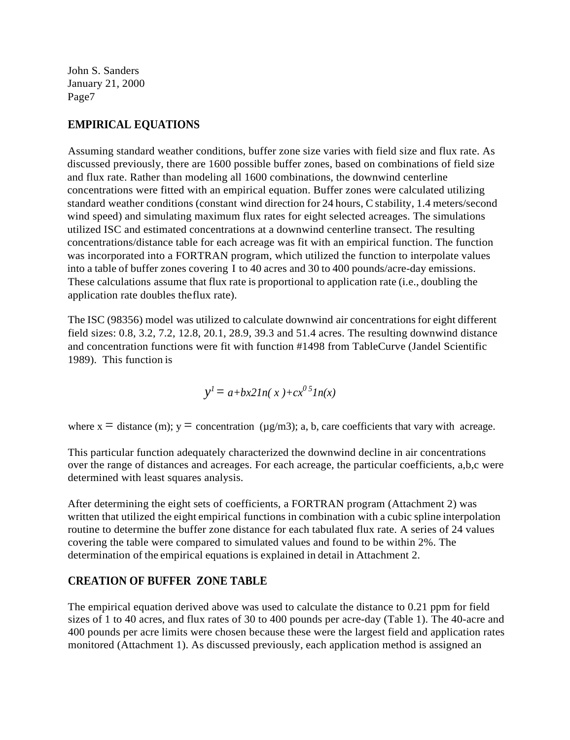# **EMPIRICAL EQUATIONS**

Assuming standard weather conditions, buffer zone size varies with field size and flux rate. As discussed previously, there are 1600 possible buffer zones, based on combinations of field size and flux rate. Rather than modeling all 1600 combinations, the downwind centerline concentrations were fitted with an empirical equation. Buffer zones were calculated utilizing standard weather conditions (constant wind direction for 24 hours, C stability, 1.4 meters/second wind speed) and simulating maximum flux rates for eight selected acreages. The simulations utilized ISC and estimated concentrations at a downwind centerline transect. The resulting concentrations/distance table for each acreage was fit with an empirical function. The function was incorporated into a FORTRAN program, which utilized the function to interpolate values into a table of buffer zones covering I to 40 acres and 30 to 400 pounds/acre-day emissions. These calculations assume that flux rate is proportional to application rate (i.e., doubling the application rate doubles theflux rate).

The ISC (98356) model was utilized to calculate downwind air concentrations for eight different field sizes: 0.8, 3.2, 7.2, 12.8, 20.1, 28.9, 39.3 and 51.4 acres. The resulting downwind distance and concentration functions were fit with function #1498 from TableCurve (Jandel Scientific 1989). This function is

$$
y^l = a + bx2\ln(x) + cx^{0.5}\ln(x)
$$

where  $x =$  distance (m);  $y =$  concentration ( $\mu$ g/m3); a, b, care coefficients that vary with acreage.

This particular function adequately characterized the downwind decline in air concentrations over the range of distances and acreages. For each acreage, the particular coefficients, a,b,c were determined with least squares analysis.

After determining the eight sets of coefficients, a FORTRAN program (Attachment 2) was written that utilized the eight empirical functions in combination with a cubic spline interpolation routine to determine the buffer zone distance for each tabulated flux rate. A series of 24 values covering the table were compared to simulated values and found to be within 2%. The determination of the empirical equations is explained in detail in Attachment 2.

# **CREATION OF BUFFER ZONE TABLE**

The empirical equation derived above was used to calculate the distance to 0.21 ppm for field sizes of 1 to 40 acres, and flux rates of 30 to 400 pounds per acre-day (Table 1). The 40-acre and 400 pounds per acre limits were chosen because these were the largest field and application rates monitored (Attachment 1). As discussed previously, each application method is assigned an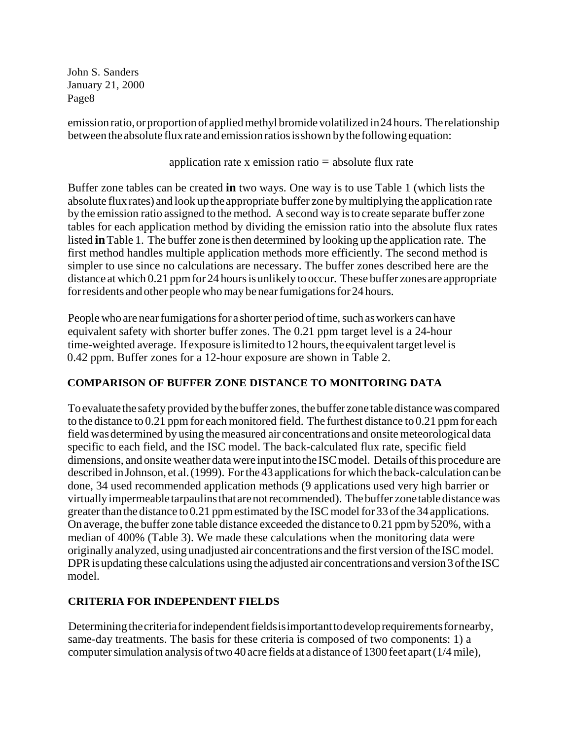emissionratio, or proportion of appliedmethyl bromide volatilized in 24 hours. The relationship between the absolute flux rate and emission ratios is shown by the following equation:

application rate x emission ratio  $=$  absolute flux rate

Buffer zone tables can be created **in** two ways. One way is to use Table 1 (which lists the absolute fluxrates) and look up the appropriate buffer zone by multiplying the application rate by the emission ratio assigned to the method. A second way isto create separate buffer zone tables for each application method by dividing the emission ratio into the absolute flux rates listed **in** Table 1. The buffer zone isthen determined by looking up the application rate. The first method handles multiple application methods more efficiently. The second method is simpler to use since no calculations are necessary. The buffer zones described here are the distance at which 0.21 ppm for 24 hours is unlikely to occur. These buffer zones are appropriate for residents and other people who may be near fumigations for 24 hours.

People who are near fumigations for a shorter period of time, such as workers can have equivalent safety with shorter buffer zones. The 0.21 ppm target level is a 24-hour time-weighted average. If exposure islimited to12 hours, the equivalent targetlevelis 0.42 ppm. Buffer zones for a 12-hour exposure are shown in Table 2.

# **COMPARISON OF BUFFER ZONE DISTANCE TO MONITORING DATA**

Toevaluate the safety provided by the buffer zones, the buffer zone tabledistancewas compared to the distance to 0.21 ppm for each monitored field. The furthest distance to 0.21 ppm for each field wasdetermined by using the measured air concentrations and onsite meteorological data specific to each field, and the ISC model. The back-calculated flux rate, specific field dimensions, and onsite weather data were input into the ISC model. Details of this procedure are described in Johnson, et al. (1999). For the 43 applications for which the back-calculation can be done, 34 used recommended application methods (9 applications used very high barrier or virtually impermeable tarpaulins thatare not recommended). The buffer zone tabledistancewas greater than the distance to 0.21 ppm estimated by the ISC model for 33 of the 34 applications. On average, the buffer zone table distance exceeded the distance to 0.21 ppm by 520%, with a median of 400% (Table 3). We made these calculations when the monitoring data were originally analyzed, using unadjusted air concentrations and the first version of the ISC model. DPR is updating these calculations using the adjusted air concentrations and version 3 of the ISC model.

# **CRITERIA FOR INDEPENDENT FIELDS**

Determining the criteria for independent fields is important to develop requirements for nearby, same-day treatments. The basis for these criteria is composed of two components: 1) a computer simulation analysis of two 40 acre fields at a distance of 1300 feet apart (1/4 mile),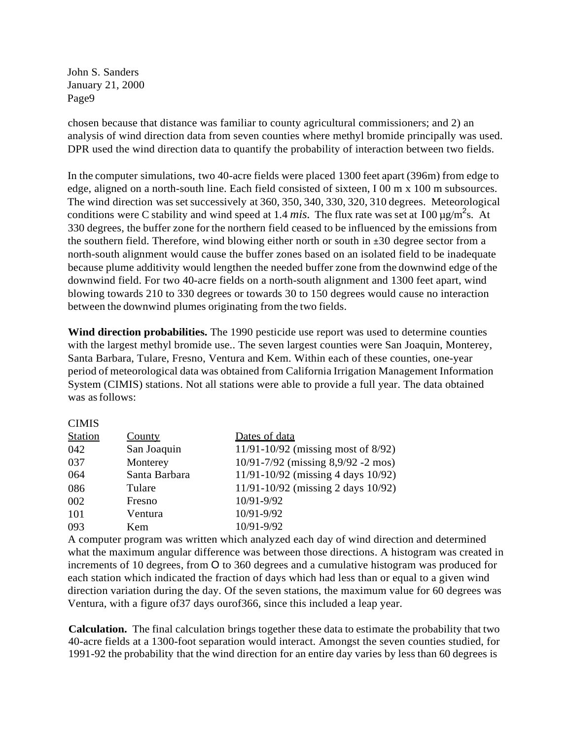chosen because that distance was familiar to county agricultural commissioners; and 2) an analysis of wind direction data from seven counties where methyl bromide principally was used. DPR used the wind direction data to quantify the probability of interaction between two fields.

In the computer simulations, two 40-acre fields were placed 1300 feet apart (396m) from edge to edge, aligned on a north-south line. Each field consisted of sixteen, I 00 m x 100 m subsources. The wind direction was set successively at 360, 350, 340, 330, 320, 310 degrees. Meteorological conditions were C stability and wind speed at 1.4 *mis*. The flux rate was set at  $100 \mu g/m^2 s$ . At 330 degrees, the buffer zone for the northern field ceased to be influenced by the emissions from the southern field. Therefore, wind blowing either north or south in  $\pm 30$  degree sector from a north-south alignment would cause the buffer zones based on an isolated field to be inadequate because plume additivity would lengthen the needed buffer zone from the downwind edge of the downwind field. For two 40-acre fields on a north-south alignment and 1300 feet apart, wind blowing towards 210 to 330 degrees or towards 30 to 150 degrees would cause no interaction between the downwind plumes originating from the two fields.

**Wind direction probabilities.** The 1990 pesticide use report was used to determine counties with the largest methyl bromide use.. The seven largest counties were San Joaquin, Monterey, Santa Barbara, Tulare, Fresno, Ventura and Kem. Within each of these counties, one-year period of meteorological data was obtained from California Irrigation Management Information System (CIMIS) stations. Not all stations were able to provide a full year. The data obtained was as follows:

#### **CIMIS**

| Station | County        | Dates of data                      |
|---------|---------------|------------------------------------|
| 042     | San Joaquin   | 11/91-10/92 (missing most of 8/92) |
| 037     | Monterey      | 10/91-7/92 (missing 8,9/92 -2 mos) |
| 064     | Santa Barbara | 11/91-10/92 (missing 4 days 10/92) |
| 086     | Tulare        | 11/91-10/92 (missing 2 days 10/92) |
| 002     | Fresno        | 10/91-9/92                         |
| 101     | Ventura       | 10/91-9/92                         |
| 093     | Kem           | 10/91-9/92                         |

A computer program was written which analyzed each day of wind direction and determined what the maximum angular difference was between those directions. A histogram was created in increments of 10 degrees, from O to 360 degrees and a cumulative histogram was produced for each station which indicated the fraction of days which had less than or equal to a given wind direction variation during the day. Of the seven stations, the maximum value for 60 degrees was Ventura, with a figure of37 days ourof366, since this included a leap year.

**Calculation.** The final calculation brings together these data to estimate the probability that two 40-acre fields at a 1300-foot separation would interact. Amongst the seven counties studied, for 1991-92 the probability that the wind direction for an entire day varies by less than 60 degrees is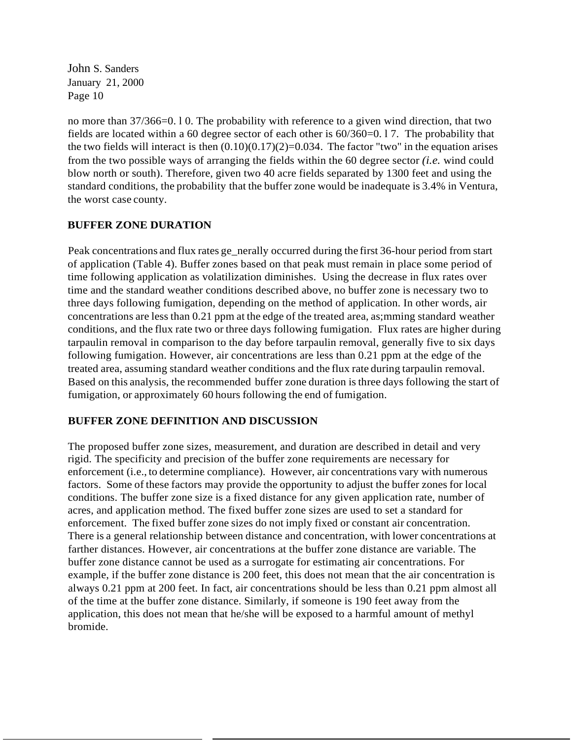no more than 37/366=0. l 0. The probability with reference to a given wind direction, that two fields are located within a 60 degree sector of each other is 60/360=0. l 7. The probability that the two fields will interact is then  $(0.10)(0.17)(2)=0.034$ . The factor "two" in the equation arises from the two possible ways of arranging the fields within the 60 degree sector *(i.e.* wind could blow north or south). Therefore, given two 40 acre fields separated by 1300 feet and using the standard conditions, the probability that the buffer zone would be inadequate is 3.4% in Ventura, the worst case county.

#### **BUFFER ZONE DURATION**

Peak concentrations and flux rates ge\_nerally occurred during the first 36-hour period from start of application (Table 4). Buffer zones based on that peak must remain in place some period of time following application as volatilization diminishes. Using the decrease in flux rates over time and the standard weather conditions described above, no buffer zone is necessary two to three days following fumigation, depending on the method of application. In other words, air concentrations are less than 0.21 ppm at the edge of the treated area, as;mming standard weather conditions, and the flux rate two or three days following fumigation. Flux rates are higher during tarpaulin removal in comparison to the day before tarpaulin removal, generally five to six days following fumigation. However, air concentrations are less than 0.21 ppm at the edge of the treated area, assuming standard weather conditions and the flux rate during tarpaulin removal. Based on this analysis, the recommended buffer zone duration is three days following the start of fumigation, or approximately 60 hours following the end of fumigation.

#### **BUFFER ZONE DEFINITION AND DISCUSSION**

The proposed buffer zone sizes, measurement, and duration are described in detail and very rigid. The specificity and precision of the buffer zone requirements are necessary for enforcement (i.e., to determine compliance). However, air concentrations vary with numerous factors. Some of these factors may provide the opportunity to adjust the buffer zones for local conditions. The buffer zone size is a fixed distance for any given application rate, number of acres, and application method. The fixed buffer zone sizes are used to set a standard for enforcement. The fixed buffer zone sizes do not imply fixed or constant air concentration. There is a general relationship between distance and concentration, with lower concentrations at farther distances. However, air concentrations at the buffer zone distance are variable. The buffer zone distance cannot be used as a surrogate for estimating air concentrations. For example, if the buffer zone distance is 200 feet, this does not mean that the air concentration is always 0.21 ppm at 200 feet. In fact, air concentrations should be less than 0.21 ppm almost all of the time at the buffer zone distance. Similarly, if someone is 190 feet away from the application, this does not mean that he/she will be exposed to a harmful amount of methyl bromide.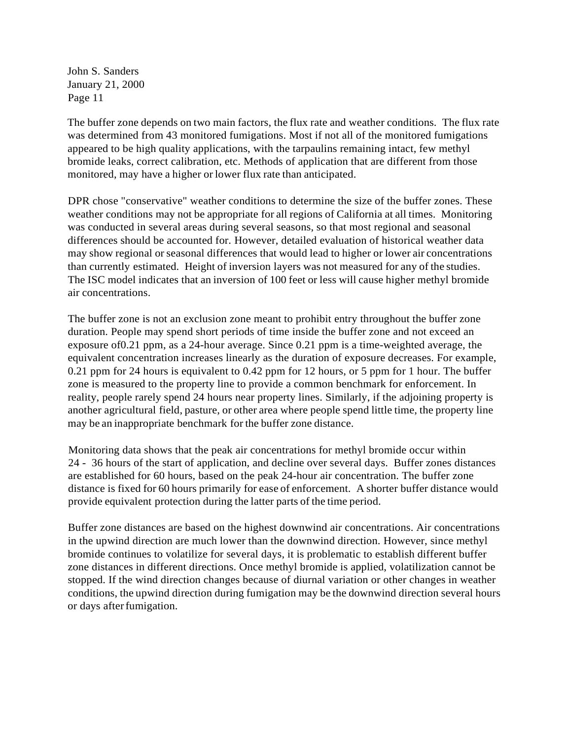The buffer zone depends on two main factors, the flux rate and weather conditions. The flux rate was determined from 43 monitored fumigations. Most if not all of the monitored fumigations appeared to be high quality applications, with the tarpaulins remaining intact, few methyl bromide leaks, correct calibration, etc. Methods of application that are different from those monitored, may have a higher or lower flux rate than anticipated.

DPR chose "conservative" weather conditions to determine the size of the buffer zones. These weather conditions may not be appropriate for all regions of California at all times. Monitoring was conducted in several areas during several seasons, so that most regional and seasonal differences should be accounted for. However, detailed evaluation of historical weather data may show regional orseasonal differences that would lead to higher or lower air concentrations than currently estimated. Height of inversion layers was not measured for any of the studies. The ISC model indicates that an inversion of 100 feet or less will cause higher methyl bromide air concentrations.

The buffer zone is not an exclusion zone meant to prohibit entry throughout the buffer zone duration. People may spend short periods of time inside the buffer zone and not exceed an exposure of0.21 ppm, as a 24-hour average. Since 0.21 ppm is a time-weighted average, the equivalent concentration increases linearly as the duration of exposure decreases. For example, 0.21 ppm for 24 hours is equivalent to 0.42 ppm for 12 hours, or 5 ppm for 1 hour. The buffer zone is measured to the property line to provide a common benchmark for enforcement. In reality, people rarely spend 24 hours near property lines. Similarly, if the adjoining property is another agricultural field, pasture, or other area where people spend little time, the property line may be an inappropriate benchmark for the buffer zone distance.

Monitoring data shows that the peak air concentrations for methyl bromide occur within 24 - 36 hours of the start of application, and decline over several days. Buffer zones distances are established for 60 hours, based on the peak 24-hour air concentration. The buffer zone distance is fixed for 60 hours primarily for ease of enforcement. A shorter buffer distance would provide equivalent protection during the latter parts of the time period.

Buffer zone distances are based on the highest downwind air concentrations. Air concentrations in the upwind direction are much lower than the downwind direction. However, since methyl bromide continues to volatilize for several days, it is problematic to establish different buffer zone distances in different directions. Once methyl bromide is applied, volatilization cannot be stopped. If the wind direction changes because of diurnal variation or other changes in weather conditions, the upwind direction during fumigation may be the downwind direction several hours or days afterfumigation.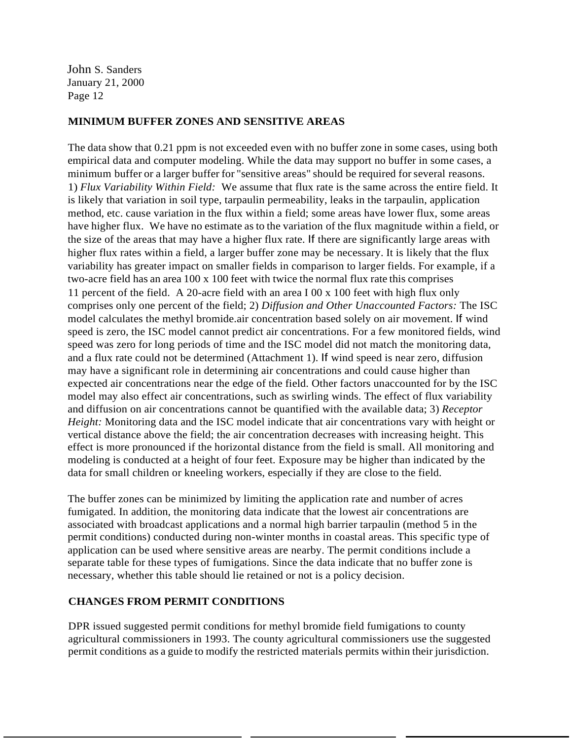#### **MINIMUM BUFFER ZONES AND SENSITIVE AREAS**

The data show that 0.21 ppm is not exceeded even with no buffer zone in some cases, using both empirical data and computer modeling. While the data may support no buffer in some cases, a minimum buffer or a larger buffer for "sensitive areas" should be required for several reasons. 1) *Flux Variability Within Field:* We assume that flux rate is the same across the entire field. It is likely that variation in soil type, tarpaulin permeability, leaks in the tarpaulin, application method, etc. cause variation in the flux within a field; some areas have lower flux, some areas have higher flux. We have no estimate as to the variation of the flux magnitude within a field, or the size of the areas that may have a higher flux rate. If there are significantly large areas with higher flux rates within a field, a larger buffer zone may be necessary. It is likely that the flux variability has greater impact on smaller fields in comparison to larger fields. For example, if a two-acre field has an area 100 x 100 feet with twice the normal flux rate this comprises 11 percent of the field. A 20-acre field with an area I 00 x 100 feet with high flux only comprises only one percent of the field; 2) *Diffusion and Other Unaccounted Factors:* The ISC model calculates the methyl bromide.air concentration based solely on air movement. If wind speed is zero, the ISC model cannot predict air concentrations. For a few monitored fields, wind speed was zero for long periods of time and the ISC model did not match the monitoring data, and a flux rate could not be determined (Attachment 1). If wind speed is near zero, diffusion may have a significant role in determining air concentrations and could cause higher than expected air concentrations near the edge of the field. Other factors unaccounted for by the ISC model may also effect air concentrations, such as swirling winds. The effect of flux variability and diffusion on air concentrations cannot be quantified with the available data; 3) *Receptor Height:* Monitoring data and the ISC model indicate that air concentrations vary with height or vertical distance above the field; the air concentration decreases with increasing height. This effect is more pronounced if the horizontal distance from the field is small. All monitoring and modeling is conducted at a height of four feet. Exposure may be higher than indicated by the data for small children or kneeling workers, especially if they are close to the field.

The buffer zones can be minimized by limiting the application rate and number of acres fumigated. In addition, the monitoring data indicate that the lowest air concentrations are associated with broadcast applications and a normal high barrier tarpaulin (method 5 in the permit conditions) conducted during non-winter months in coastal areas. This specific type of application can be used where sensitive areas are nearby. The permit conditions include a separate table for these types of fumigations. Since the data indicate that no buffer zone is necessary, whether this table should lie retained or not is a policy decision.

#### **CHANGES FROM PERMIT CONDITIONS**

DPR issued suggested permit conditions for methyl bromide field fumigations to county agricultural commissioners in 1993. The county agricultural commissioners use the suggested permit conditions as a guide to modify the restricted materials permits within their jurisdiction.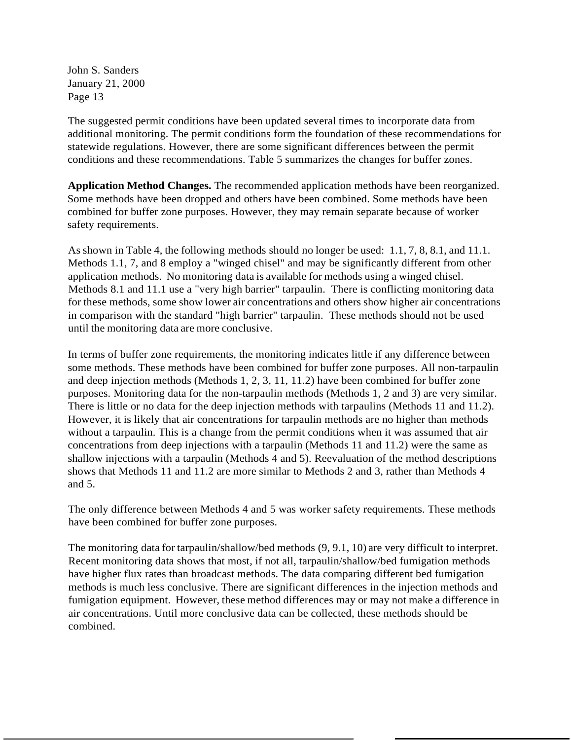The suggested permit conditions have been updated several times to incorporate data from additional monitoring. The permit conditions form the foundation of these recommendations for statewide regulations. However, there are some significant differences between the permit conditions and these recommendations. Table 5 summarizes the changes for buffer zones.

**Application Method Changes.** The recommended application methods have been reorganized. Some methods have been dropped and others have been combined. Some methods have been combined for buffer zone purposes. However, they may remain separate because of worker safety requirements.

As shown in Table 4, the following methods should no longer be used: 1.1, 7, 8, 8.1, and 11.1. Methods 1.1, 7, and 8 employ a "winged chisel" and may be significantly different from other application methods. No monitoring data is available for methods using a winged chisel. Methods 8.1 and 11.1 use a "very high barrier" tarpaulin. There is conflicting monitoring data for these methods, some show lower air concentrations and others show higher air concentrations in comparison with the standard "high barrier" tarpaulin. These methods should not be used until the monitoring data are more conclusive.

In terms of buffer zone requirements, the monitoring indicates little if any difference between some methods. These methods have been combined for buffer zone purposes. All non-tarpaulin and deep injection methods (Methods 1, 2, 3, 11, 11.2) have been combined for buffer zone purposes. Monitoring data for the non-tarpaulin methods (Methods 1, 2 and 3) are very similar. There is little or no data for the deep injection methods with tarpaulins (Methods 11 and 11.2). However, it is likely that air concentrations for tarpaulin methods are no higher than methods without a tarpaulin. This is a change from the permit conditions when it was assumed that air concentrations from deep injections with a tarpaulin (Methods 11 and 11.2) were the same as shallow injections with a tarpaulin (Methods 4 and 5). Reevaluation of the method descriptions shows that Methods 11 and 11.2 are more similar to Methods 2 and 3, rather than Methods 4 and 5.

The only difference between Methods 4 and 5 was worker safety requirements. These methods have been combined for buffer zone purposes.

The monitoring data for tarpaulin/shallow/bed methods (9, 9.1, 10) are very difficult to interpret. Recent monitoring data shows that most, if not all, tarpaulin/shallow/bed fumigation methods have higher flux rates than broadcast methods. The data comparing different bed fumigation methods is much less conclusive. There are significant differences in the injection methods and fumigation equipment. However, these method differences may or may not make a difference in air concentrations. Until more conclusive data can be collected, these methods should be combined.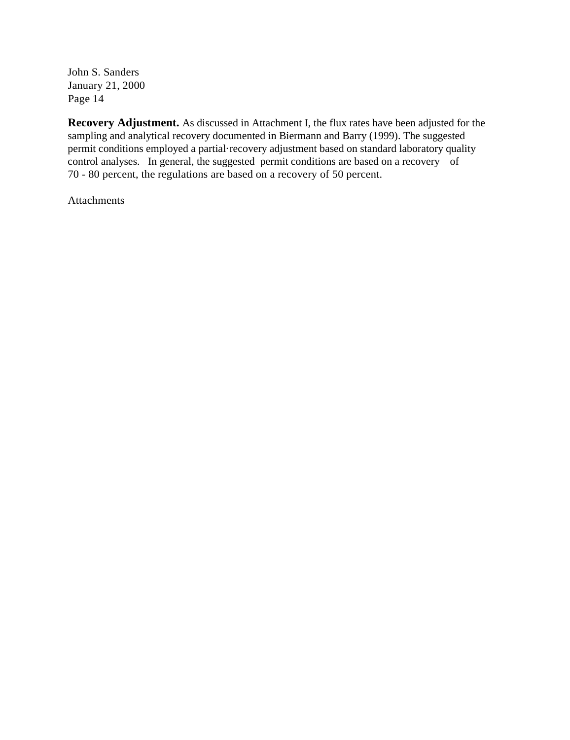**Recovery Adjustment.** As discussed in Attachment I, the flux rates have been adjusted for the sampling and analytical recovery documented in Biermann and Barry (1999). The suggested permit conditions employed a partial·recovery adjustment based on standard laboratory quality control analyses. In general, the suggested permit conditions are based on a recovery of 70 - 80 percent, the regulations are based on a recovery of 50 percent.

Attachments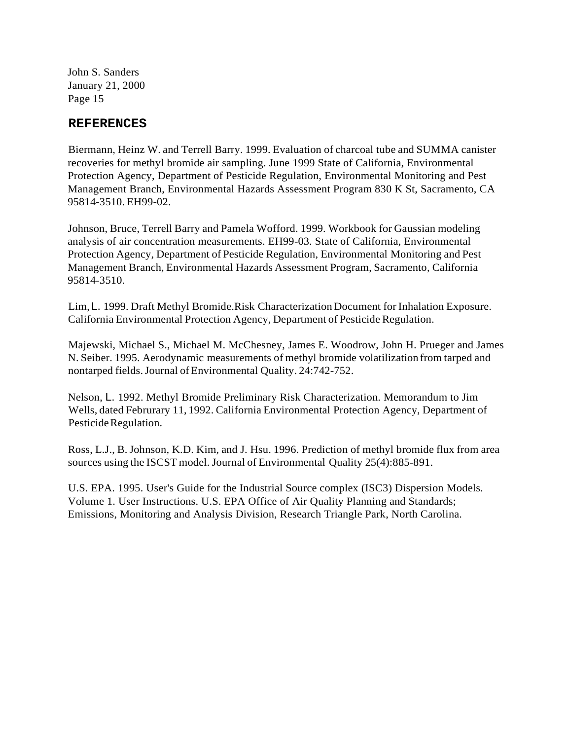#### **REFERENCES**

Biermann, Heinz W. and Terrell Barry. 1999. Evaluation of charcoal tube and SUMMA canister recoveries for methyl bromide air sampling. June 1999 State of California, Environmental Protection Agency, Department of Pesticide Regulation, Environmental Monitoring and Pest Management Branch, Environmental Hazards Assessment Program 830 K St, Sacramento, CA 95814-3510. EH99-02.

Johnson, Bruce, Terrell Barry and Pamela Wofford. 1999. Workbook for Gaussian modeling analysis of air concentration measurements. EH99-03. State of California, Environmental Protection Agency, Department of Pesticide Regulation, Environmental Monitoring and Pest Management Branch, Environmental Hazards Assessment Program, Sacramento, California 95814-3510.

Lim,L. 1999. Draft Methyl Bromide.Risk Characterization Document for Inhalation Exposure. California Environmental Protection Agency, Department of Pesticide Regulation.

Majewski, Michael S., Michael M. McChesney, James E. Woodrow, John H. Prueger and James N. Seiber. 1995. Aerodynamic measurements of methyl bromide volatilization from tarped and nontarped fields.Journal of Environmental Quality. 24:742-752.

Nelson, L. 1992. Methyl Bromide Preliminary Risk Characterization. Memorandum to Jim Wells, dated Februrary 11, 1992. California Environmental Protection Agency, Department of Pesticide Regulation.

Ross, L.J., B.Johnson, K.D. Kim, and J. Hsu. 1996. Prediction of methyl bromide flux from area sources using the ISCST model. Journal of Environmental Quality 25(4):885-891.

U.S. EPA. 1995. User's Guide for the Industrial Source complex (ISC3) Dispersion Models. Volume 1. User Instructions. U.S. EPA Office of Air Quality Planning and Standards; Emissions, Monitoring and Analysis Division, Research Triangle Park, North Carolina.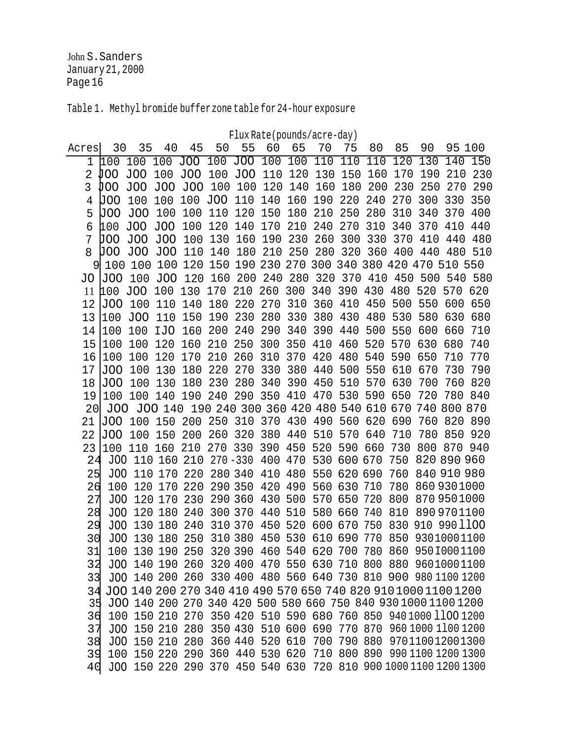Table 1. Methyl bromide bufferzone table for 24-hour exposure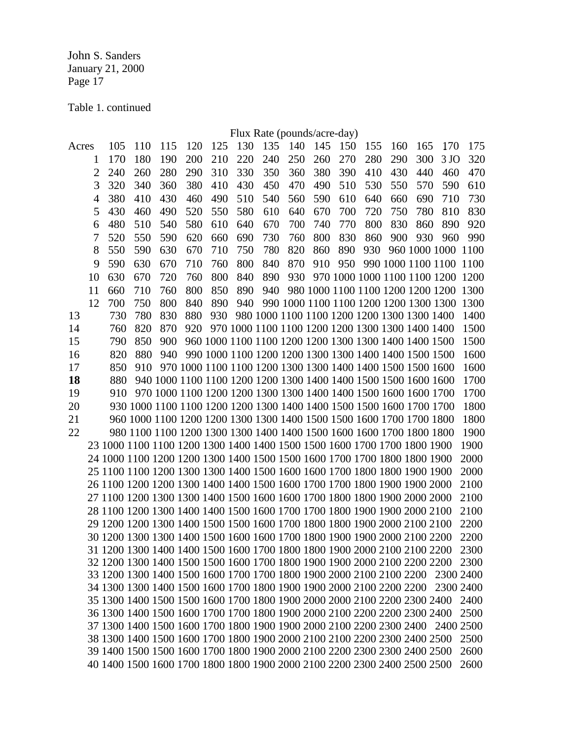Table 1. continued

|       |                |                                                                                                                                                           |     |     |     |     |     |     |     | Flux Rate (pounds/acre-day) |     |                                                                      |     |                    |                    |      |
|-------|----------------|-----------------------------------------------------------------------------------------------------------------------------------------------------------|-----|-----|-----|-----|-----|-----|-----|-----------------------------|-----|----------------------------------------------------------------------|-----|--------------------|--------------------|------|
| Acres |                | 105                                                                                                                                                       | 110 | 115 | 120 | 125 | 130 | 135 | 140 | 145                         | 150 | 155                                                                  | 160 | 165                | 170                | 175  |
|       | 1              | 170                                                                                                                                                       | 180 | 190 | 200 | 210 | 220 | 240 | 250 | 260                         | 270 | 280                                                                  | 290 | 300                | 3 <sub>JO</sub>    | 320  |
|       | $\overline{2}$ | 240                                                                                                                                                       | 260 | 280 | 290 | 310 | 330 | 350 | 360 | 380                         | 390 | 410                                                                  | 430 | 440                | 460                | 470  |
|       | 3              | 320                                                                                                                                                       | 340 | 360 | 380 | 410 | 430 | 450 | 470 | 490                         | 510 | 530                                                                  | 550 | 570                | 590                | 610  |
|       | $\overline{4}$ | 380                                                                                                                                                       | 410 | 430 | 460 | 490 | 510 | 540 | 560 | 590                         | 610 | 640                                                                  | 660 | 690                | 710                | 730  |
|       | 5              | 430                                                                                                                                                       | 460 | 490 | 520 | 550 | 580 | 610 | 640 | 670                         | 700 | 720                                                                  | 750 | 780                | 810                | 830  |
|       | 6              | 480                                                                                                                                                       | 510 | 540 | 580 | 610 | 640 | 670 | 700 | 740                         | 770 | 800                                                                  | 830 | 860                | 890                | 920  |
|       | 7              | 520                                                                                                                                                       | 550 | 590 | 620 | 660 | 690 | 730 | 760 | 800                         | 830 | 860                                                                  | 900 | 930                | 960                | 990  |
|       | 8              | 550                                                                                                                                                       | 590 | 630 | 670 | 710 | 750 | 780 | 820 | 860                         | 890 | 930                                                                  |     |                    | 960 1000 1000 1100 |      |
|       | 9              | 590                                                                                                                                                       | 630 | 670 | 710 | 760 | 800 | 840 | 870 | 910                         | 950 |                                                                      |     | 990 1000 1100 1100 |                    | 1100 |
|       | 10             | 630                                                                                                                                                       | 670 | 720 | 760 | 800 | 840 | 890 | 930 |                             |     | 970 1000 1000 1100 1100 1200                                         |     |                    |                    | 1200 |
|       | 11             | 660                                                                                                                                                       | 710 | 760 | 800 | 850 | 890 | 940 |     |                             |     | 980 1000 1100 1100 1200 1200 1200 1300                               |     |                    |                    |      |
|       | 12             | 700                                                                                                                                                       | 750 | 800 | 840 | 890 | 940 |     |     |                             |     |                                                                      |     |                    |                    |      |
| 13    |                | 730                                                                                                                                                       | 780 | 830 | 880 | 930 |     |     |     |                             |     | 980 1000 1100 1100 1200 1200 1300 1300 1400                          |     |                    |                    | 1400 |
| 14    |                | 760                                                                                                                                                       | 820 | 870 | 920 |     |     |     |     |                             |     | 970 1000 1100 1100 1200 1200 1300 1300 1400 1400                     |     |                    |                    | 1500 |
| 15    |                | 790                                                                                                                                                       | 850 | 900 |     |     |     |     |     |                             |     | 960 1000 1100 1100 1200 1200 1300 1300 1400 1400 1500                |     |                    |                    | 1500 |
| 16    |                | 820                                                                                                                                                       | 880 | 940 |     |     |     |     |     |                             |     | 990 1000 1100 1200 1200 1300 1300 1400 1400 1500 1500                |     |                    |                    | 1600 |
| 17    |                | 850                                                                                                                                                       | 910 |     |     |     |     |     |     |                             |     | 970 1000 1100 1100 1200 1300 1300 1400 1400 1500 1500 1600           |     |                    |                    | 1600 |
| 18    |                | 880                                                                                                                                                       |     |     |     |     |     |     |     |                             |     | 940 1000 1100 1100 1200 1200 1300 1400 1400 1500 1500 1600 1600      |     |                    |                    | 1700 |
| 19    |                | 910                                                                                                                                                       |     |     |     |     |     |     |     |                             |     | 970 1000 1100 1200 1200 1300 1300 1400 1400 1500 1600 1600 1700      |     |                    |                    | 1700 |
| 20    |                |                                                                                                                                                           |     |     |     |     |     |     |     |                             |     | 930 1000 1100 1100 1200 1200 1300 1400 1400 1500 1500 1600 1700 1700 |     |                    |                    | 1800 |
| 21    |                |                                                                                                                                                           |     |     |     |     |     |     |     |                             |     | 960 1000 1100 1200 1200 1300 1300 1400 1500 1500 1600 1700 1700 1800 |     |                    |                    | 1800 |
| 22    |                |                                                                                                                                                           |     |     |     |     |     |     |     |                             |     | 980 1100 1100 1200 1300 1300 1400 1400 1500 1600 1600 1700 1800 1800 |     |                    |                    | 1900 |
|       |                | 23 1000 1100 1100 1200 1300 1400 1400 1500 1500 1600 1700 1700 1800 1900                                                                                  |     |     |     |     |     |     |     |                             |     |                                                                      |     |                    |                    | 1900 |
|       |                | 24 1000 1100 1200 1200 1300 1400 1500 1500 1600 1700 1700 1800 1800 1900                                                                                  |     |     |     |     |     |     |     |                             |     |                                                                      |     |                    |                    | 2000 |
|       |                | 25 1100 1100 1200 1300 1300 1400 1500 1600 1600 1700 1800 1800 1900 1900                                                                                  |     |     |     |     |     |     |     |                             |     |                                                                      |     |                    |                    | 2000 |
|       |                | 26 1100 1200 1200 1300 1400 1400 1500 1600 1700 1700 1800 1900 1900 2000                                                                                  |     |     |     |     |     |     |     |                             |     |                                                                      |     |                    |                    | 2100 |
|       |                | 27 1100 1200 1300 1300 1400 1500 1600 1600 1700 1800 1800 1900 2000 2000                                                                                  |     |     |     |     |     |     |     |                             |     |                                                                      |     |                    |                    | 2100 |
|       |                | 28 1100 1200 1300 1400 1400 1500 1600 1700 1700 1800 1900 1900 2000 2100                                                                                  |     |     |     |     |     |     |     |                             |     |                                                                      |     |                    |                    | 2100 |
|       |                | 29 1200 1200 1300 1400 1500 1500 1600 1700 1800 1800 1900 2000 2100 2100                                                                                  |     |     |     |     |     |     |     |                             |     |                                                                      |     |                    |                    | 2200 |
|       |                | 30 1200 1300 1300 1400 1500 1600 1600 1700 1800 1900 1900 2000 2100 2200                                                                                  |     |     |     |     |     |     |     |                             |     |                                                                      |     |                    |                    | 2200 |
|       |                | 31 1200 1300 1400 1400 1500 1600 1700 1800 1800 1900 2000 2100 2100 2200                                                                                  |     |     |     |     |     |     |     |                             |     |                                                                      |     |                    |                    | 2300 |
|       |                | 32 1200 1300 1400 1500 1500 1600 1700 1800 1900 1900 2000 2100 2200 2200                                                                                  |     |     |     |     |     |     |     |                             |     |                                                                      |     |                    |                    | 2300 |
|       |                | 33 1200 1300 1400 1500 1600 1700 1700 1800 1900 2000 2100 2100 2200 2300 2400                                                                             |     |     |     |     |     |     |     |                             |     |                                                                      |     |                    |                    |      |
|       |                | 34 1300 1300 1400 1500 1600 1700 1800 1900 1900 2000 2100 2200 2200 2300 2400                                                                             |     |     |     |     |     |     |     |                             |     |                                                                      |     |                    |                    |      |
|       |                | 35 1300 1400 1500 1500 1600 1700 1800 1900 2000 2000 2100 2200 2300 2400                                                                                  |     |     |     |     |     |     |     |                             |     |                                                                      |     |                    |                    | 2400 |
|       |                | 36 1300 1400 1500 1600 1700 1700 1800 1900 2000 2100 2200 2200 2300 2400<br>37 1300 1400 1500 1600 1700 1800 1900 1900 2000 2100 2200 2300 2400 2400 2500 |     |     |     |     |     |     |     |                             |     |                                                                      |     |                    |                    | 2500 |
|       |                | 38 1300 1400 1500 1600 1700 1800 1900 2000 2100 2100 2200 2300 2400 2500                                                                                  |     |     |     |     |     |     |     |                             |     |                                                                      |     |                    |                    | 2500 |
|       |                | 39 1400 1500 1500 1600 1700 1800 1900 2000 2100 2200 2300 2300 2400 2500                                                                                  |     |     |     |     |     |     |     |                             |     |                                                                      |     |                    |                    | 2600 |
|       |                | 40 1400 1500 1600 1700 1800 1800 1900 2000 2100 2200 2300 2400 2500 2500                                                                                  |     |     |     |     |     |     |     |                             |     |                                                                      |     |                    |                    | 2600 |
|       |                |                                                                                                                                                           |     |     |     |     |     |     |     |                             |     |                                                                      |     |                    |                    |      |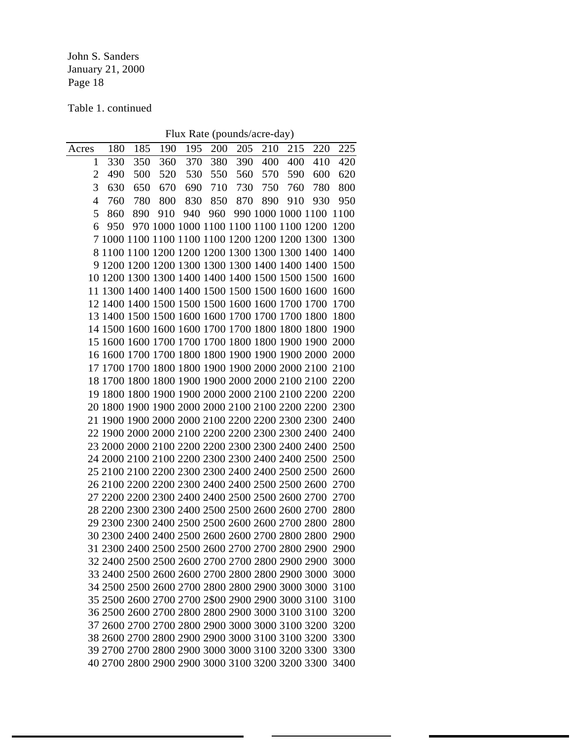Table 1. continued

Flux Rate (pounds/acre-day)

|                |     |     |     | They have (pounds) acre day                      |     |     |     |     |                                                      |      |
|----------------|-----|-----|-----|--------------------------------------------------|-----|-----|-----|-----|------------------------------------------------------|------|
| Acres          | 180 | 185 | 190 | 195                                              | 200 | 205 | 210 | 215 | 220                                                  | 225  |
| $\mathbf{1}$   | 330 | 350 | 360 | 370                                              | 380 | 390 | 400 | 400 | 410                                                  | 420  |
| $\overline{2}$ | 490 | 500 | 520 | 530                                              | 550 | 560 | 570 | 590 | 600                                                  | 620  |
| 3              | 630 | 650 | 670 | 690                                              | 710 | 730 | 750 | 760 | 780                                                  | 800  |
| 4              | 760 | 780 | 800 | 830                                              | 850 | 870 | 890 | 910 | 930                                                  | 950  |
| 5              | 860 | 890 | 910 | 940                                              |     |     |     |     | 960 990 1000 1000 1100 1100                          |      |
| 6              | 950 |     |     | 970 1000 1000 1100 1100 1100 1100 1200           |     |     |     |     |                                                      | 1200 |
|                |     |     |     |                                                  |     |     |     |     |                                                      | 1300 |
|                |     |     |     |                                                  |     |     |     |     |                                                      | 1400 |
|                |     |     |     |                                                  |     |     |     |     | 9 1200 1200 1200 1300 1300 1300 1400 1400 1400 1500  |      |
|                |     |     |     | 10 1200 1300 1300 1400 1400 1400 1500 1500 1500  |     |     |     |     |                                                      | 1600 |
|                |     |     |     | 11 1300 1400 1400 1400 1500 1500 1500 1600 1600  |     |     |     |     |                                                      | 1600 |
|                |     |     |     |                                                  |     |     |     |     | 12 1400 1400 1500 1500 1500 1600 1600 1700 1700 1700 |      |
|                |     |     |     | 13 1400 1500 1500 1600 1600 1700 1700 1700 1800  |     |     |     |     |                                                      | 1800 |
|                |     |     |     |                                                  |     |     |     |     | 14 1500 1600 1600 1600 1700 1700 1800 1800 1800 1900 |      |
|                |     |     |     |                                                  |     |     |     |     | 15 1600 1600 1700 1700 1700 1800 1800 1900 1900 2000 |      |
|                |     |     |     |                                                  |     |     |     |     | 16 1600 1700 1700 1800 1800 1900 1900 1900 2000 2000 |      |
|                |     |     |     |                                                  |     |     |     |     | 17 1700 1700 1800 1800 1900 1900 2000 2000 2100 2100 |      |
|                |     |     |     |                                                  |     |     |     |     | 18 1700 1800 1800 1900 1900 2000 2000 2100 2100 2200 |      |
|                |     |     |     |                                                  |     |     |     |     |                                                      |      |
|                |     |     |     |                                                  |     |     |     |     |                                                      |      |
|                |     |     |     |                                                  |     |     |     |     | 21 1900 1900 2000 2000 2100 2200 2200 2300 2300 2400 |      |
|                |     |     |     | 22 1900 2000 2000 2100 2200 2200 2300 2300 2400  |     |     |     |     |                                                      | 2400 |
|                |     |     |     | 23 2000 2000 2100 2200 2200 2300 2300 2400 2400  |     |     |     |     |                                                      | 2500 |
|                |     |     |     |                                                  |     |     |     |     | 24 2000 2100 2100 2200 2300 2300 2400 2400 2500 2500 |      |
|                |     |     |     | 25 2100 2100 2200 2300 2300 2400 2400 2500 2500  |     |     |     |     |                                                      | 2600 |
|                |     |     |     | 26 2100 2200 2200 2300 2400 2400 2500 2500 2600  |     |     |     |     |                                                      | 2700 |
|                |     |     |     | 27 2200 2200 2300 2400 2400 2500 2500 2600 2700  |     |     |     |     |                                                      | 2700 |
|                |     |     |     | 28 2200 2300 2300 2400 2500 2500 2600 2600 2700  |     |     |     |     |                                                      | 2800 |
|                |     |     |     | 29 2300 2300 2400 2500 2500 2600 2600 2700 2800  |     |     |     |     |                                                      | 2800 |
|                |     |     |     | 30 2300 2400 2400 2500 2600 2600 2700 2800 2800  |     |     |     |     |                                                      | 2900 |
|                |     |     |     |                                                  |     |     |     |     | 31 2300 2400 2500 2500 2600 2700 2700 2800 2900 2900 |      |
|                |     |     |     | 32 2400 2500 2500 2600 2700 2700 2800 2900 2900  |     |     |     |     |                                                      | 3000 |
|                |     |     |     | 33 2400 2500 2600 2600 2700 2800 2800 2900 3000  |     |     |     |     |                                                      | 3000 |
|                |     |     |     | 34 2500 2500 2600 2700 2800 2800 2900 3000 3000  |     |     |     |     |                                                      | 3100 |
|                |     |     |     | 35 2500 2600 2700 2700 2\$00 2900 2900 3000 3100 |     |     |     |     |                                                      | 3100 |
|                |     |     |     | 36 2500 2600 2700 2800 2800 2900 3000 3100 3100  |     |     |     |     |                                                      | 3200 |
|                |     |     |     | 37 2600 2700 2700 2800 2900 3000 3000 3100 3200  |     |     |     |     |                                                      | 3200 |
|                |     |     |     | 38 2600 2700 2800 2900 2900 3000 3100 3100 3200  |     |     |     |     |                                                      | 3300 |
|                |     |     |     | 39 2700 2700 2800 2900 3000 3000 3100 3200 3300  |     |     |     |     |                                                      | 3300 |
|                |     |     |     | 40 2700 2800 2900 2900 3000 3100 3200 3200 3300  |     |     |     |     |                                                      | 3400 |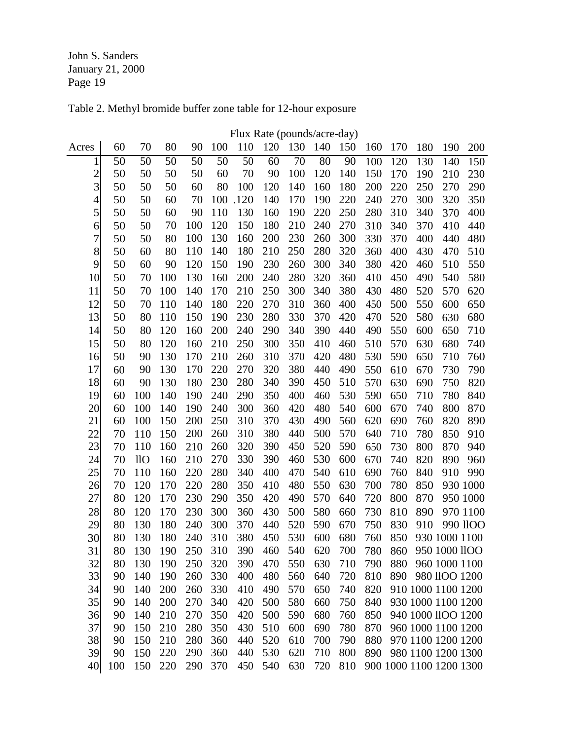# Table 2. Methyl bromide buffer zone table for 12-hour exposure

|                |     |     |     |     |     |      | Flux Rate (pounds/acre-day) |     |     |     |     |     |     |                         |          |
|----------------|-----|-----|-----|-----|-----|------|-----------------------------|-----|-----|-----|-----|-----|-----|-------------------------|----------|
| Acres          | 60  | 70  | 80  | 90  | 100 | 110  | 120                         | 130 | 140 | 150 | 160 | 170 | 180 | 190                     | 200      |
| 1              | 50  | 50  | 50  | 50  | 50  | 50   | 60                          | 70  | 80  | 90  | 100 | 120 | 130 | 140                     | 150      |
| $\overline{c}$ | 50  | 50  | 50  | 50  | 60  | 70   | 90                          | 100 | 120 | 140 | 150 | 170 | 190 | 210                     | 230      |
| 3              | 50  | 50  | 50  | 60  | 80  | 100  | 120                         | 140 | 160 | 180 | 200 | 220 | 250 | 270                     | 290      |
| $\overline{4}$ | 50  | 50  | 60  | 70  | 100 | .120 | 140                         | 170 | 190 | 220 | 240 | 270 | 300 | 320                     | 350      |
| 5              | 50  | 50  | 60  | 90  | 110 | 130  | 160                         | 190 | 220 | 250 | 280 | 310 | 340 | 370                     | 400      |
| 6              | 50  | 50  | 70  | 100 | 120 | 150  | 180                         | 210 | 240 | 270 | 310 | 340 | 370 | 410                     | 440      |
| 7              | 50  | 50  | 80  | 100 | 130 | 160  | 200                         | 230 | 260 | 300 | 330 | 370 | 400 | 440                     | 480      |
| 8              | 50  | 60  | 80  | 110 | 140 | 180  | 210                         | 250 | 280 | 320 | 360 | 400 | 430 | 470                     | 510      |
| 9              | 50  | 60  | 90  | 120 | 150 | 190  | 230                         | 260 | 300 | 340 | 380 | 420 | 460 | 510                     | 550      |
| 10             | 50  | 70  | 100 | 130 | 160 | 200  | 240                         | 280 | 320 | 360 | 410 | 450 | 490 | 540                     | 580      |
| 11             | 50  | 70  | 100 | 140 | 170 | 210  | 250                         | 300 | 340 | 380 | 430 | 480 | 520 | 570                     | 620      |
| 12             | 50  | 70  | 110 | 140 | 180 | 220  | 270                         | 310 | 360 | 400 | 450 | 500 | 550 | 600                     | 650      |
| 13             | 50  | 80  | 110 | 150 | 190 | 230  | 280                         | 330 | 370 | 420 | 470 | 520 | 580 | 630                     | 680      |
| 14             | 50  | 80  | 120 | 160 | 200 | 240  | 290                         | 340 | 390 | 440 | 490 | 550 | 600 | 650                     | 710      |
| 15             | 50  | 80  | 120 | 160 | 210 | 250  | 300                         | 350 | 410 | 460 | 510 | 570 | 630 | 680                     | 740      |
| 16             | 50  | 90  | 130 | 170 | 210 | 260  | 310                         | 370 | 420 | 480 | 530 | 590 | 650 | 710                     | 760      |
| 17             | 60  | 90  | 130 | 170 | 220 | 270  | 320                         | 380 | 440 | 490 | 550 | 610 | 670 | 730                     | 790      |
| 18             | 60  | 90  | 130 | 180 | 230 | 280  | 340                         | 390 | 450 | 510 | 570 | 630 | 690 | 750                     | 820      |
| 19             | 60  | 100 | 140 | 190 | 240 | 290  | 350                         | 400 | 460 | 530 | 590 | 650 | 710 | 780                     | 840      |
| 20             | 60  | 100 | 140 | 190 | 240 | 300  | 360                         | 420 | 480 | 540 | 600 | 670 | 740 | 800                     | 870      |
| 21             | 60  | 100 | 150 | 200 | 250 | 310  | 370                         | 430 | 490 | 560 | 620 | 690 | 760 | 820                     | 890      |
| 22             | 70  | 110 | 150 | 200 | 260 | 310  | 380                         | 440 | 500 | 570 | 640 | 710 | 780 | 850                     | 910      |
| 23             | 70  | 110 | 160 | 210 | 260 | 320  | 390                         | 450 | 520 | 590 | 650 | 730 | 800 | 870                     | 940      |
| 24             | 70  | 11O | 160 | 210 | 270 | 330  | 390                         | 460 | 530 | 600 | 670 | 740 | 820 | 890                     | 960      |
| 25             | 70  | 110 | 160 | 220 | 280 | 340  | 400                         | 470 | 540 | 610 | 690 | 760 | 840 | 910                     | 990      |
| 26             | 70  | 120 | 170 | 220 | 280 | 350  | 410                         | 480 | 550 | 630 | 700 | 780 | 850 |                         | 930 1000 |
| 27             | 80  | 120 | 170 | 230 | 290 | 350  | 420                         | 490 | 570 | 640 | 720 | 800 | 870 |                         | 950 1000 |
| 28             | 80  | 120 | 170 | 230 | 300 | 360  | 430                         | 500 | 580 | 660 | 730 | 810 | 890 |                         | 970 1100 |
| 29             | 80  | 130 | 180 | 240 | 300 | 370  | 440                         | 520 | 590 | 670 | 750 | 830 | 910 |                         | 990 llOO |
| 30             | 80  | 130 | 180 | 240 | 310 | 380  | 450                         | 530 | 600 | 680 | 760 | 850 |     | 930 1000 1100           |          |
| 31             | 80  | 130 | 190 | 250 | 310 | 390  | 460                         | 540 | 620 | 700 | 780 | 860 |     | 950 1000 llOO           |          |
| 32             | 80  | 130 | 190 | 250 | 320 | 390  | 470                         | 550 | 630 | 710 | 790 | 880 |     | 960 1000 1100           |          |
| 33             | 90  | 140 | 190 | 260 | 330 | 400  | 480                         | 560 | 640 | 720 | 810 | 890 |     | 980 llOO 1200           |          |
| 34             | 90  | 140 | 200 | 260 | 330 | 410  | 490                         | 570 | 650 | 740 | 820 |     |     | 910 1000 1100 1200      |          |
| 35             | 90  | 140 | 200 | 270 | 340 | 420  | 500                         | 580 | 660 | 750 | 840 |     |     | 930 1000 1100 1200      |          |
| 36             | 90  | 140 | 210 | 270 | 350 | 420  | 500                         | 590 | 680 | 760 | 850 |     |     | 940 1000 llOO 1200      |          |
| 37             | 90  | 150 | 210 | 280 | 350 | 430  | 510                         | 600 | 690 | 780 | 870 |     |     | 960 1000 1100 1200      |          |
| 38             | 90  | 150 | 210 | 280 | 360 | 440  | 520                         | 610 | 700 | 790 | 880 |     |     | 970 1100 1200 1200      |          |
| 39             | 90  | 150 | 220 | 290 | 360 | 440  | 530                         | 620 | 710 | 800 | 890 |     |     | 980 1100 1200 1300      |          |
| 40             | 100 | 150 | 220 | 290 | 370 | 450  | 540                         | 630 | 720 | 810 |     |     |     | 900 1000 1100 1200 1300 |          |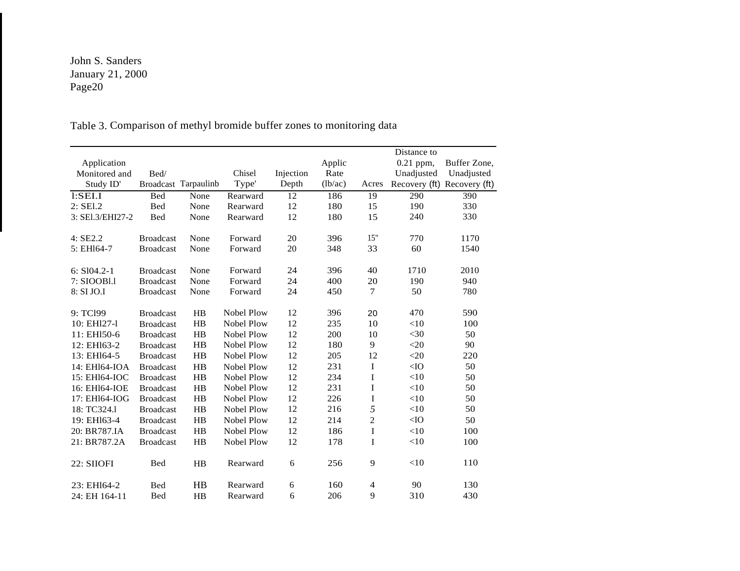# Table 3. Comparison of methyl bromide buffer zones to monitoring data

|                  |                  |                      |                   |           |         |                | Distance to |                             |
|------------------|------------------|----------------------|-------------------|-----------|---------|----------------|-------------|-----------------------------|
| Application      |                  |                      |                   |           | Applic  |                | $0.21$ ppm, | Buffer Zone,                |
| Monitored and    | Bed/             |                      | Chisel            | Injection | Rate    |                | Unadjusted  | Unadjusted                  |
| Study ID'        |                  | Broadcast Tarpaulinb | Type'             | Depth     | (lb/ac) | Acres          |             | Recovery (ft) Recovery (ft) |
| 1:SEI.I          | <b>Bed</b>       | None                 | Rearward          | 12        | 186     | 19             | 290         | 390                         |
| 2: SEl.2         | Bed              | None                 | Rearward          | 12        | 180     | 15             | 190         | 330                         |
| 3: SEl.3/EHI27-2 | <b>Bed</b>       | None                 | Rearward          | 12        | 180     | 15             | 240         | 330                         |
|                  |                  |                      |                   |           |         |                |             |                             |
| 4: SE2.2         | <b>Broadcast</b> | None                 | Forward           | 20        | 396     | 15"            | 770         | 1170                        |
| 5: EH164-7       | <b>Broadcast</b> | None                 | Forward           | 20        | 348     | 33             | 60          | 1540                        |
| $6: S104.2 - 1$  | <b>Broadcast</b> | None                 | Forward           | 24        | 396     | 40             | 1710        | 2010                        |
| 7: SIOOBl.1      | <b>Broadcast</b> | None                 | Forward           | 24        | 400     | 20             | 190         | 940                         |
| 8: SI JO.I       | <b>Broadcast</b> | None                 | Forward           | 24        | 450     | $\overline{7}$ | 50          | 780                         |
|                  |                  |                      |                   |           |         |                |             |                             |
| 9: TC199         | <b>Broadcast</b> | HB                   | Nobel Plow        | 12        | 396     | 20             | 470         | 590                         |
| 10: EH127-1      | <b>Broadcast</b> | HB                   | Nobel Plow        | 12        | 235     | 10             | <10         | 100                         |
| 11: EHI50-6      | <b>Broadcast</b> | HB                   | Nobel Plow        | 12        | 200     | 10             | $<$ 30      | 50                          |
| 12: EH163-2      | <b>Broadcast</b> | HB                   | Nobel Plow        | 12        | 180     | 9              | $<$ 20      | 90                          |
| 13: EH164-5      | <b>Broadcast</b> | HB                   | Nobel Plow        | 12        | 205     | 12             | $<$ 20      | 220                         |
| 14: EHI64-IOA    | <b>Broadcast</b> | HB                   | Nobel Plow        | 12        | 231     | I              | $<$ IO      | 50                          |
| 15: EH164-IOC    | <b>Broadcast</b> | HB                   | Nobel Plow        | 12        | 234     | I              | $<$ 10      | 50                          |
| 16: EH164-IOE    | <b>Broadcast</b> | HB                   | Nobel Plow        | 12        | 231     | I              | <10         | 50                          |
| 17: EHI64-IOG    | <b>Broadcast</b> | HB                   | Nobel Plow        | 12        | 226     | I              | $<$ 10      | 50                          |
| 18: TC324.1      | <b>Broadcast</b> | HB                   | Nobel Plow        | 12        | 216     | 5              | <10         | 50                          |
| 19: EH163-4      | <b>Broadcast</b> | HB                   | Nobel Plow        | 12        | 214     | $\overline{c}$ | $<$ IO      | 50                          |
| 20: BR787.IA     | <b>Broadcast</b> | HB                   | <b>Nobel Plow</b> | 12        | 186     | I              | <10         | 100                         |
| 21: BR787.2A     | <b>Broadcast</b> | HB                   | <b>Nobel Plow</b> | 12        | 178     | I              | $<$ 10      | 100                         |
|                  |                  |                      |                   |           |         |                |             |                             |
| 22: SIIOFI       | <b>Bed</b>       | HB                   | Rearward          | 6         | 256     | 9              | $<$ 10      | 110                         |
| 23: EH164-2      | <b>Bed</b>       | HB                   | Rearward          | 6         | 160     | 4              | 90          | 130                         |
|                  |                  |                      |                   |           |         |                |             |                             |
| 24: EH 164-11    | <b>Bed</b>       | HB                   | Rearward          | 6         | 206     | 9              | 310         | 430                         |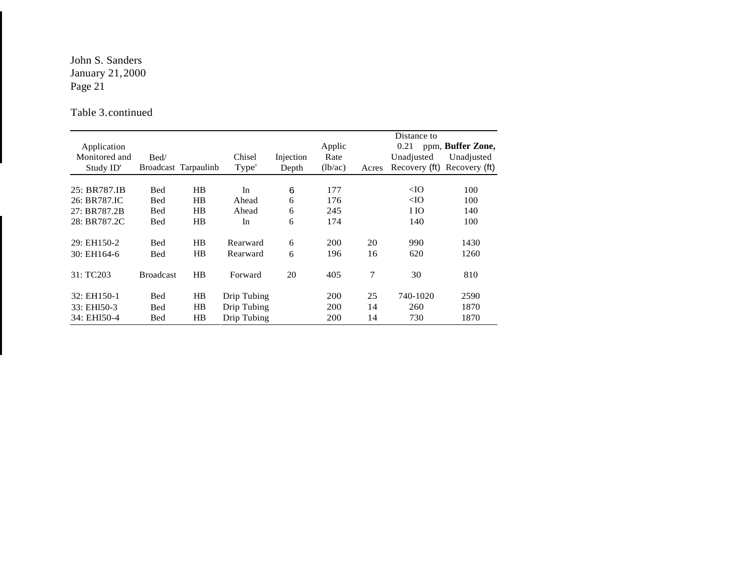# Table 3.continued

|               |                  |                      |             |           |         |       | Distance to   |                   |
|---------------|------------------|----------------------|-------------|-----------|---------|-------|---------------|-------------------|
| Application   |                  |                      |             |           | Applic  |       | 0.21          | ppm, Buffer Zone, |
| Monitored and | Bed/             |                      | Chisel      | Injection | Rate    |       | Unadjusted    | Unadjusted        |
| Study ID'     |                  | Broadcast Tarpaulinb | Type'       | Depth     | (lb/ac) | Acres | Recovery (ft) | Recovery (ft)     |
|               |                  |                      |             |           |         |       |               |                   |
| 25: BR787.IB  | <b>Bed</b>       | HB                   | In          | 6         | 177     |       | $<$ IO        | 100               |
| 26: BR787.IC  | <b>Bed</b>       | HB                   | Ahead       | 6         | 176     |       | $<$ IO        | 100               |
| 27: BR787.2B  | <b>Bed</b>       | <b>HB</b>            | Ahead       | 6         | 245     |       | I IO          | 140               |
| 28: BR787.2C  | <b>Bed</b>       | HB                   | In          | 6         | 174     |       | 140           | 100               |
| 29: EH150-2   | <b>Bed</b>       | HB                   | Rearward    | 6         | 200     | 20    | 990           | 1430              |
| 30: EH164-6   | <b>Bed</b>       | HB                   | Rearward    | 6         | 196     | 16    | 620           | 1260              |
|               |                  |                      |             |           |         |       |               |                   |
| 31: TC203     | <b>Broadcast</b> | HR                   | Forward     | 20        | 405     | 7     | 30            | 810               |
| 32: EH150-1   | <b>Bed</b>       | HB                   | Drip Tubing |           | 200     | 25    | 740-1020      | 2590              |
| 33: EH150-3   | <b>Bed</b>       | HB                   | Drip Tubing |           | 200     | 14    | 260           | 1870              |
| 34: EH150-4   | Bed              | $_{\rm HB}$          | Drip Tubing |           | 200     | 14    | 730           | 1870              |